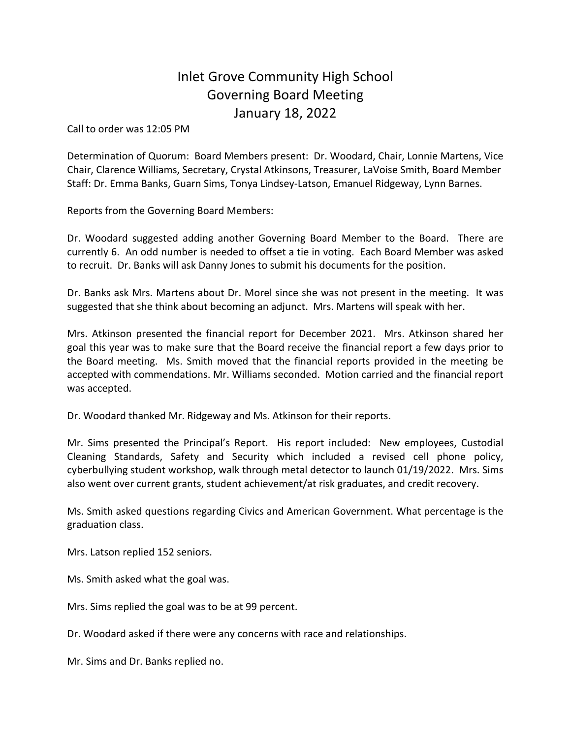## Inlet Grove Community High School Governing Board Meeting January 18, 2022

Call to order was 12:05 PM

Determination of Quorum: Board Members present: Dr. Woodard, Chair, Lonnie Martens, Vice Chair, Clarence Williams, Secretary, Crystal Atkinsons, Treasurer, LaVoise Smith, Board Member Staff: Dr. Emma Banks, Guarn Sims, Tonya Lindsey-Latson, Emanuel Ridgeway, Lynn Barnes.

Reports from the Governing Board Members:

Dr. Woodard suggested adding another Governing Board Member to the Board. There are currently 6. An odd number is needed to offset a tie in voting. Each Board Member was asked to recruit. Dr. Banks will ask Danny Jones to submit his documents for the position.

Dr. Banks ask Mrs. Martens about Dr. Morel since she was not present in the meeting. It was suggested that she think about becoming an adjunct. Mrs. Martens will speak with her.

Mrs. Atkinson presented the financial report for December 2021. Mrs. Atkinson shared her goal this year was to make sure that the Board receive the financial report a few days prior to the Board meeting. Ms. Smith moved that the financial reports provided in the meeting be accepted with commendations. Mr. Williams seconded. Motion carried and the financial report was accepted.

Dr. Woodard thanked Mr. Ridgeway and Ms. Atkinson for their reports.

Mr. Sims presented the Principal's Report. His report included: New employees, Custodial Cleaning Standards, Safety and Security which included a revised cell phone policy, cyberbullying student workshop, walk through metal detector to launch 01/19/2022. Mrs. Sims also went over current grants, student achievement/at risk graduates, and credit recovery.

Ms. Smith asked questions regarding Civics and American Government. What percentage is the graduation class.

Mrs. Latson replied 152 seniors.

Ms. Smith asked what the goal was.

Mrs. Sims replied the goal was to be at 99 percent.

Dr. Woodard asked if there were any concerns with race and relationships.

Mr. Sims and Dr. Banks replied no.